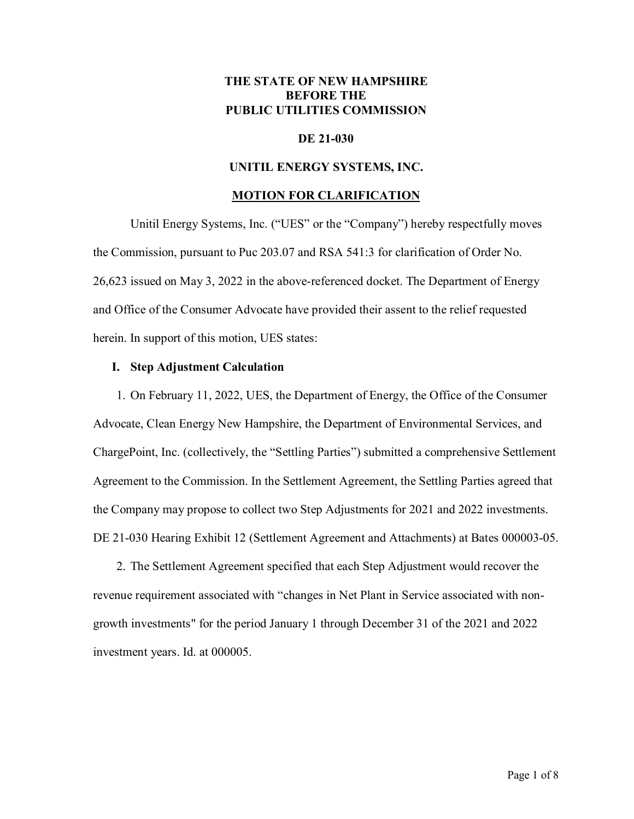## **THE STATE OF NEW HAMPSHIRE BEFORE THE PUBLIC UTILITIES COMMISSION**

### **DE 21-030**

#### **UNITIL ENERGY SYSTEMS, INC.**

#### **MOTION FOR CLARIFICATION**

Unitil Energy Systems, Inc. ("UES" or the "Company") hereby respectfully moves the Commission, pursuant to Puc 203.07 and RSA 541:3 for clarification of Order No. 26,623 issued on May 3, 2022 in the above-referenced docket. The Department of Energy and Office of the Consumer Advocate have provided their assent to the relief requested herein. In support of this motion, UES states:

#### **I. Step Adjustment Calculation**

1. On February 11, 2022, UES, the Department of Energy, the Office of the Consumer Advocate, Clean Energy New Hampshire, the Department of Environmental Services, and ChargePoint, Inc. (collectively, the "Settling Parties") submitted a comprehensive Settlement Agreement to the Commission. In the Settlement Agreement, the Settling Parties agreed that the Company may propose to collect two Step Adjustments for 2021 and 2022 investments. DE 21-030 Hearing Exhibit 12 (Settlement Agreement and Attachments) at Bates 000003-05.

2. The Settlement Agreement specified that each Step Adjustment would recover the revenue requirement associated with "changes in Net Plant in Service associated with nongrowth investments" for the period January 1 through December 31 of the 2021 and 2022 investment years. Id. at 000005.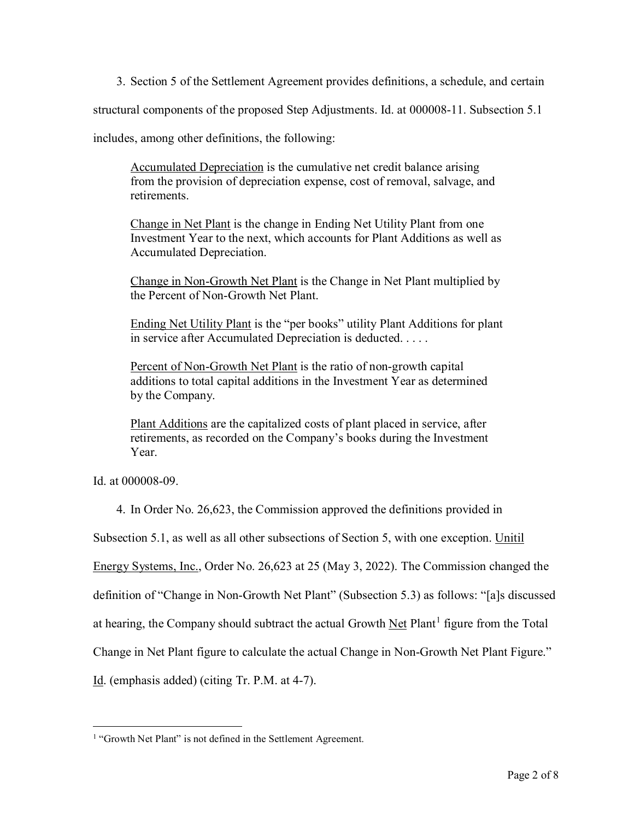3. Section 5 of the Settlement Agreement provides definitions, a schedule, and certain

structural components of the proposed Step Adjustments. Id. at 000008-11. Subsection 5.1

includes, among other definitions, the following:

Accumulated Depreciation is the cumulative net credit balance arising from the provision of depreciation expense, cost of removal, salvage, and retirements.

Change in Net Plant is the change in Ending Net Utility Plant from one Investment Year to the next, which accounts for Plant Additions as well as Accumulated Depreciation.

Change in Non-Growth Net Plant is the Change in Net Plant multiplied by the Percent of Non-Growth Net Plant.

Ending Net Utility Plant is the "per books" utility Plant Additions for plant in service after Accumulated Depreciation is deducted. . . . .

Percent of Non-Growth Net Plant is the ratio of non-growth capital additions to total capital additions in the Investment Year as determined by the Company.

Plant Additions are the capitalized costs of plant placed in service, after retirements, as recorded on the Company's books during the Investment Year.

Id. at 000008-09.

4. In Order No. 26,623, the Commission approved the definitions provided in

Subsection 5.1, as well as all other subsections of Section 5, with one exception. Unitil

Energy Systems, Inc., Order No. 26,623 at 25 (May 3, 2022). The Commission changed the

definition of "Change in Non-Growth Net Plant" (Subsection 5.3) as follows: "[a]s discussed

at hearing, the Company should subtract the actual Growth  $\text{Net}$  Plant<sup>[1](#page-1-0)</sup> figure from the Total

Change in Net Plant figure to calculate the actual Change in Non-Growth Net Plant Figure."

Id. (emphasis added) (citing Tr. P.M. at 4-7).

<span id="page-1-0"></span><sup>&</sup>lt;sup>1</sup> "Growth Net Plant" is not defined in the Settlement Agreement.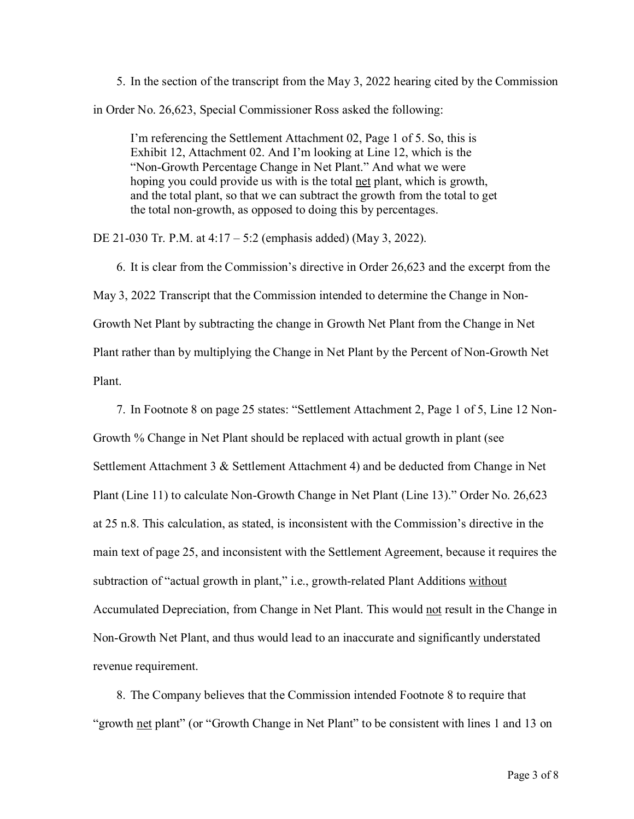5. In the section of the transcript from the May 3, 2022 hearing cited by the Commission in Order No. 26,623, Special Commissioner Ross asked the following:

I'm referencing the Settlement Attachment 02, Page 1 of 5. So, this is Exhibit 12, Attachment 02. And I'm looking at Line 12, which is the "Non-Growth Percentage Change in Net Plant." And what we were hoping you could provide us with is the total net plant, which is growth, and the total plant, so that we can subtract the growth from the total to get the total non-growth, as opposed to doing this by percentages.

DE 21-030 Tr. P.M. at 4:17 – 5:2 (emphasis added) (May 3, 2022).

6. It is clear from the Commission's directive in Order 26,623 and the excerpt from the May 3, 2022 Transcript that the Commission intended to determine the Change in Non-Growth Net Plant by subtracting the change in Growth Net Plant from the Change in Net Plant rather than by multiplying the Change in Net Plant by the Percent of Non-Growth Net Plant.

7. In Footnote 8 on page 25 states: "Settlement Attachment 2, Page 1 of 5, Line 12 Non-Growth % Change in Net Plant should be replaced with actual growth in plant (see Settlement Attachment 3 & Settlement Attachment 4) and be deducted from Change in Net Plant (Line 11) to calculate Non-Growth Change in Net Plant (Line 13)." Order No. 26,623 at 25 n.8. This calculation, as stated, is inconsistent with the Commission's directive in the main text of page 25, and inconsistent with the Settlement Agreement, because it requires the subtraction of "actual growth in plant," i.e., growth-related Plant Additions without Accumulated Depreciation, from Change in Net Plant. This would not result in the Change in Non-Growth Net Plant, and thus would lead to an inaccurate and significantly understated revenue requirement.

8. The Company believes that the Commission intended Footnote 8 to require that "growth net plant" (or "Growth Change in Net Plant" to be consistent with lines 1 and 13 on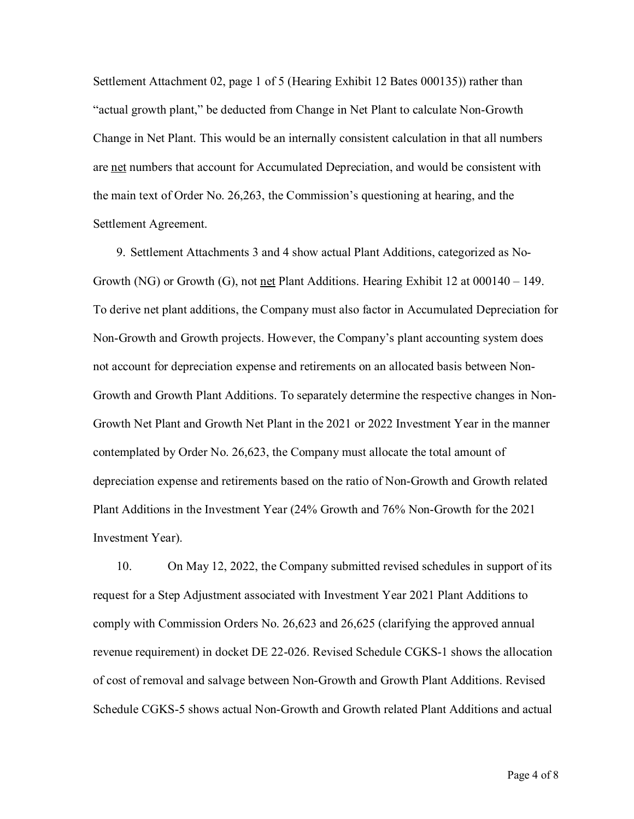Settlement Attachment 02, page 1 of 5 (Hearing Exhibit 12 Bates 000135)) rather than "actual growth plant," be deducted from Change in Net Plant to calculate Non-Growth Change in Net Plant. This would be an internally consistent calculation in that all numbers are net numbers that account for Accumulated Depreciation, and would be consistent with the main text of Order No. 26,263, the Commission's questioning at hearing, and the Settlement Agreement.

9. Settlement Attachments 3 and 4 show actual Plant Additions, categorized as No-Growth (NG) or Growth (G), not net Plant Additions. Hearing Exhibit 12 at 000140 – 149. To derive net plant additions, the Company must also factor in Accumulated Depreciation for Non-Growth and Growth projects. However, the Company's plant accounting system does not account for depreciation expense and retirements on an allocated basis between Non-Growth and Growth Plant Additions. To separately determine the respective changes in Non-Growth Net Plant and Growth Net Plant in the 2021 or 2022 Investment Year in the manner contemplated by Order No. 26,623, the Company must allocate the total amount of depreciation expense and retirements based on the ratio of Non-Growth and Growth related Plant Additions in the Investment Year (24% Growth and 76% Non-Growth for the 2021 Investment Year).

10. On May 12, 2022, the Company submitted revised schedules in support of its request for a Step Adjustment associated with Investment Year 2021 Plant Additions to comply with Commission Orders No. 26,623 and 26,625 (clarifying the approved annual revenue requirement) in docket DE 22-026. Revised Schedule CGKS-1 shows the allocation of cost of removal and salvage between Non-Growth and Growth Plant Additions. Revised Schedule CGKS-5 shows actual Non-Growth and Growth related Plant Additions and actual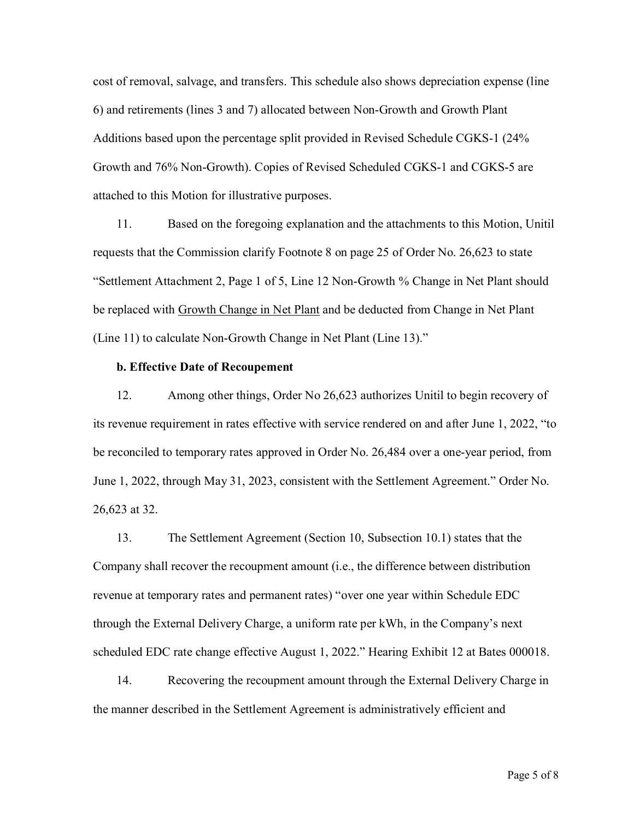cost of removal, salvage, and transfers. This schedule also shows depreciation expense (line 6) and retirements (lines 3 and 7) allocated between Non-Growth and Growth Plant Additions based upon the percentage split provided in Revised Schedule CGKS-1 (24% Growth and 76% Non-Growth). Copies of Revised Scheduled CGKS-1 and CGKS-5 are attached to this Motion for illustrative purposes.

11. Based on the foregoing explanation and the attachments to this Motion, Unitil requests that the Commission clarify Footnote 8 on page 25 of Order No. 26,623 to state "Settlement Attachment 2, Page 1 of 5, Line 12 Non-Growth % Change in Net Plant should be replaced with Growth Change in Net Plant and be deducted from Change in Net Plant (Line 11) to calculate Non-Growth Change in Net Plant (Line 13)."

#### **b. Effective Date of Recoupement**

12. Among other things, Order No 26,623 authorizes Unitil to begin recovery of its revenue requirement in rates effective with service rendered on and after June 1, 2022, "to be reconciled to temporary rates approved in Order No. 26,484 over a one-year period, from June 1, 2022, through May 31, 2023, consistent with the Settlement Agreement." Order No. 26,623 at 32.

13. The Settlement Agreement (Section 10, Subsection 10.1) states that the Company shall recover the recoupment amount (i.e., the difference between distribution revenue at temporary rates and permanent rates) "over one year within Schedule EDC through the External Delivery Charge, a uniform rate per kWh, in the Company's next scheduled EDC rate change effective August 1, 2022." Hearing Exhibit 12 at Bates 000018.

14. Recovering the recoupment amount through the External Delivery Charge in the manner described in the Settlement Agreement is administratively efficient and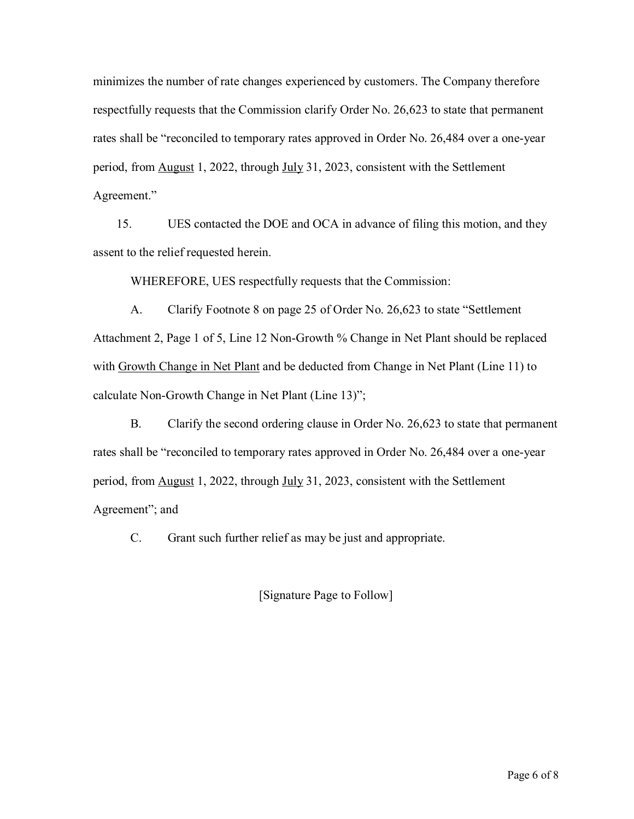minimizes the number of rate changes experienced by customers. The Company therefore respectfully requests that the Commission clarify Order No. 26,623 to state that permanent rates shall be "reconciled to temporary rates approved in Order No. 26,484 over a one-year period, from **August 1, 2022**, through **July 31, 2023**, consistent with the Settlement Agreement."

15. UES contacted the DOE and OCA in advance of filing this motion, and they assent to the relief requested herein.

WHEREFORE, UES respectfully requests that the Commission:

A. Clarify Footnote 8 on page 25 of Order No. 26,623 to state "Settlement Attachment 2, Page 1 of 5, Line 12 Non-Growth % Change in Net Plant should be replaced with Growth Change in Net Plant and be deducted from Change in Net Plant (Line 11) to calculate Non-Growth Change in Net Plant (Line 13)";

B. Clarify the second ordering clause in Order No. 26,623 to state that permanent rates shall be "reconciled to temporary rates approved in Order No. 26,484 over a one-year period, from **August 1, 2022**, through **July 31, 2023**, consistent with the Settlement Agreement"; and

C. Grant such further relief as may be just and appropriate.

[Signature Page to Follow]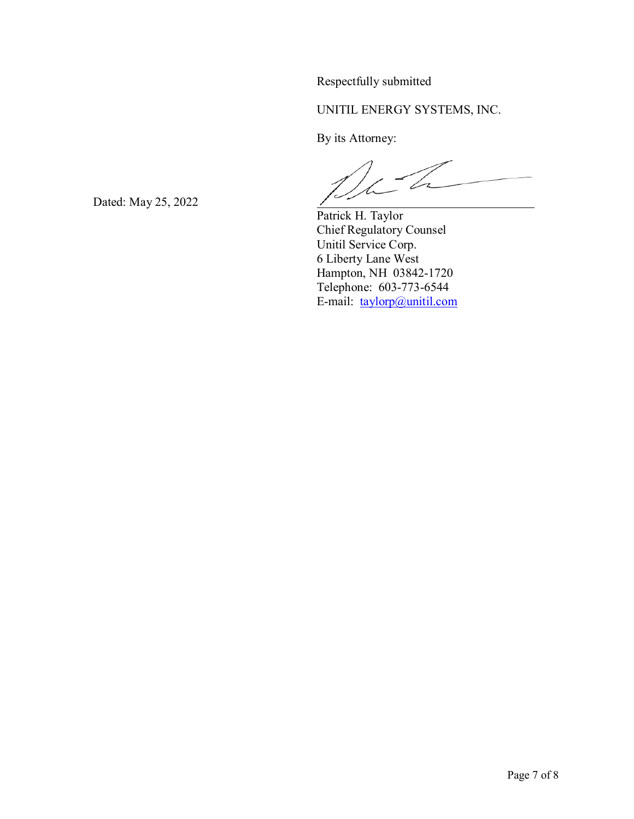Respectfully submitted

UNITIL ENERGY SYSTEMS, INC.

By its Attorney:

V

Patrick H. Taylor Chief Regulatory Counsel Unitil Service Corp. 6 Liberty Lane West Hampton, NH 03842-1720 Telephone: 603-773-6544 E-mail: [taylorp@unitil.com](mailto:taylorp@unitil.com)

Dated: May 25, 2022